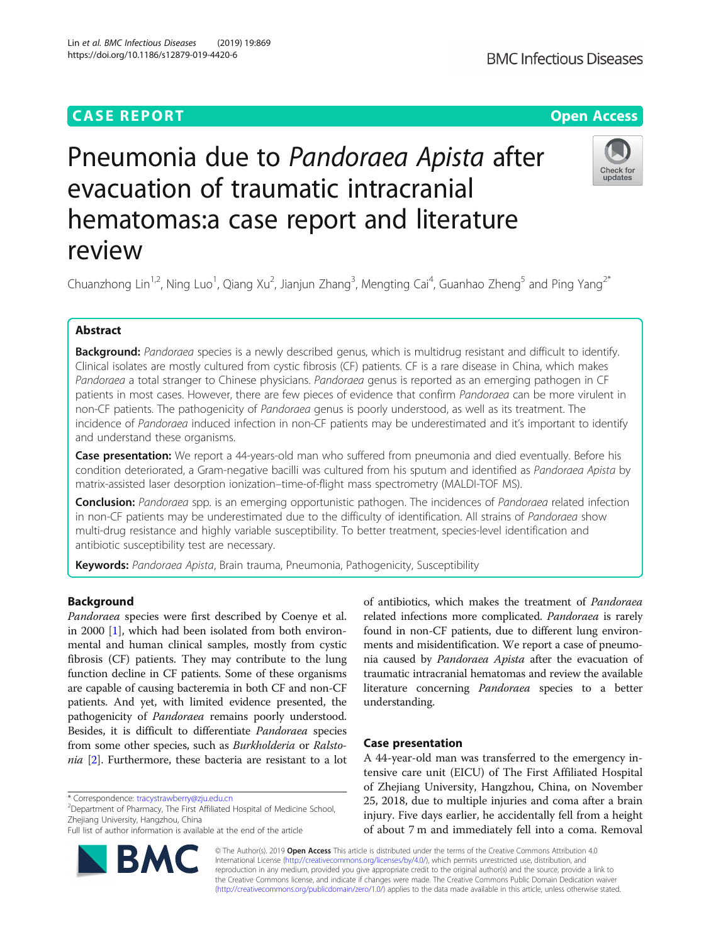# **CASE REPORT CASE ACCESS**

# Pneumonia due to Pandoraea Apista after evacuation of traumatic intracranial hematomas:a case report and literature review

Chuanzhong Lin<sup>1,2</sup>, Ning Luo<sup>1</sup>, Qiang Xu<sup>2</sup>, Jianjun Zhang<sup>3</sup>, Mengting Cai<sup>4</sup>, Guanhao Zheng<sup>5</sup> and Ping Yang<sup>2\*</sup>

# Abstract

Background: Pandoraea species is a newly described genus, which is multidrug resistant and difficult to identify. Clinical isolates are mostly cultured from cystic fibrosis (CF) patients. CF is a rare disease in China, which makes Pandoraea a total stranger to Chinese physicians. Pandoraea genus is reported as an emerging pathogen in CF patients in most cases. However, there are few pieces of evidence that confirm Pandoraea can be more virulent in non-CF patients. The pathogenicity of Pandoraea genus is poorly understood, as well as its treatment. The incidence of Pandoraea induced infection in non-CF patients may be underestimated and it's important to identify and understand these organisms.

Case presentation: We report a 44-years-old man who suffered from pneumonia and died eventually. Before his condition deteriorated, a Gram-negative bacilli was cultured from his sputum and identified as Pandoraea Apista by matrix-assisted laser desorption ionization–time-of-flight mass spectrometry (MALDI-TOF MS).

Conclusion: Pandoraea spp. is an emerging opportunistic pathogen. The incidences of Pandoraea related infection in non-CF patients may be underestimated due to the difficulty of identification. All strains of Pandoraea show multi-drug resistance and highly variable susceptibility. To better treatment, species-level identification and antibiotic susceptibility test are necessary.

Keywords: Pandoraea Apista, Brain trauma, Pneumonia, Pathogenicity, Susceptibility

# Background

Pandoraea species were first described by Coenye et al. in 2000 [\[1\]](#page-7-0), which had been isolated from both environmental and human clinical samples, mostly from cystic fibrosis (CF) patients. They may contribute to the lung function decline in CF patients. Some of these organisms are capable of causing bacteremia in both CF and non-CF patients. And yet, with limited evidence presented, the pathogenicity of Pandoraea remains poorly understood. Besides, it is difficult to differentiate Pandoraea species from some other species, such as Burkholderia or Ralstonia  $[2]$  $[2]$  $[2]$ . Furthermore, these bacteria are resistant to a lot

Zhejiang University, Hangzhou, China

Full list of author information is available at the end of the article

© The Author(s). 2019 Open Access This article is distributed under the terms of the Creative Commons Attribution 4.0 International License [\(http://creativecommons.org/licenses/by/4.0/](http://creativecommons.org/licenses/by/4.0/)), which permits unrestricted use, distribution, and reproduction in any medium, provided you give appropriate credit to the original author(s) and the source, provide a link to the Creative Commons license, and indicate if changes were made. The Creative Commons Public Domain Dedication waiver [\(http://creativecommons.org/publicdomain/zero/1.0/](http://creativecommons.org/publicdomain/zero/1.0/)) applies to the data made available in this article, unless otherwise stated.

understanding.

Case presentation

of antibiotics, which makes the treatment of Pandoraea related infections more complicated. Pandoraea is rarely found in non-CF patients, due to different lung environments and misidentification. We report a case of pneumonia caused by Pandoraea Apista after the evacuation of traumatic intracranial hematomas and review the available literature concerning Pandoraea species to a better

A 44-year-old man was transferred to the emergency intensive care unit (EICU) of The First Affiliated Hospital of Zhejiang University, Hangzhou, China, on November 25, 2018, due to multiple injuries and coma after a brain injury. Five days earlier, he accidentally fell from a height of about 7 m and immediately fell into a coma. Removal

\* Correspondence: [tracystrawberry@zju.edu.cn](mailto:tracystrawberry@zju.edu.cn) <sup>2</sup>

<sup>2</sup>Department of Pharmacy, The First Affiliated Hospital of Medicine School,





undate

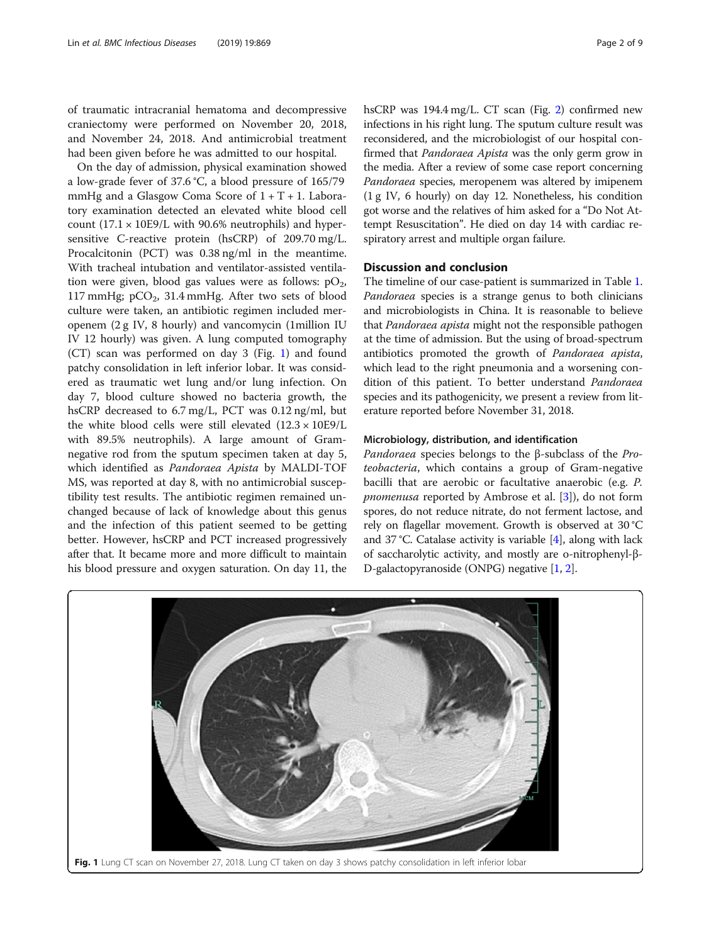of traumatic intracranial hematoma and decompressive craniectomy were performed on November 20, 2018, and November 24, 2018. And antimicrobial treatment had been given before he was admitted to our hospital.

On the day of admission, physical examination showed a low-grade fever of 37.6 °C, a blood pressure of 165/79 mmHg and a Glasgow Coma Score of  $1 + T + 1$ . Laboratory examination detected an elevated white blood cell count  $(17.1 \times 10E9/L)$  with 90.6% neutrophils) and hypersensitive C-reactive protein (hsCRP) of 209.70 mg/L. Procalcitonin (PCT) was 0.38 ng/ml in the meantime. With tracheal intubation and ventilator-assisted ventilation were given, blood gas values were as follows:  $pO_2$ , 117 mmHg;  $pCO<sub>2</sub>$ , 31.4 mmHg. After two sets of blood culture were taken, an antibiotic regimen included meropenem (2 g IV, 8 hourly) and vancomycin (1million IU IV 12 hourly) was given. A lung computed tomography (CT) scan was performed on day 3 (Fig. 1) and found patchy consolidation in left inferior lobar. It was considered as traumatic wet lung and/or lung infection. On day 7, blood culture showed no bacteria growth, the hsCRP decreased to 6.7 mg/L, PCT was 0.12 ng/ml, but the white blood cells were still elevated  $(12.3 \times 10E9/L)$ with 89.5% neutrophils). A large amount of Gramnegative rod from the sputum specimen taken at day 5, which identified as Pandoraea Apista by MALDI-TOF MS, was reported at day 8, with no antimicrobial susceptibility test results. The antibiotic regimen remained unchanged because of lack of knowledge about this genus and the infection of this patient seemed to be getting better. However, hsCRP and PCT increased progressively after that. It became more and more difficult to maintain his blood pressure and oxygen saturation. On day 11, the hsCRP was 194.4 mg/L. CT scan (Fig. [2\)](#page-2-0) confirmed new infections in his right lung. The sputum culture result was reconsidered, and the microbiologist of our hospital confirmed that *Pandoraea Apista* was the only germ grow in the media. After a review of some case report concerning Pandoraea species, meropenem was altered by imipenem (1 g IV, 6 hourly) on day 12. Nonetheless, his condition got worse and the relatives of him asked for a "Do Not Attempt Resuscitation". He died on day 14 with cardiac respiratory arrest and multiple organ failure.

# Discussion and conclusion

The timeline of our case-patient is summarized in Table [1](#page-3-0). Pandoraea species is a strange genus to both clinicians and microbiologists in China. It is reasonable to believe that Pandoraea apista might not the responsible pathogen at the time of admission. But the using of broad-spectrum antibiotics promoted the growth of Pandoraea apista, which lead to the right pneumonia and a worsening condition of this patient. To better understand Pandoraea species and its pathogenicity, we present a review from literature reported before November 31, 2018.

## Microbiology, distribution, and identification

Pandoraea species belongs to the β-subclass of the Proteobacteria, which contains a group of Gram-negative bacilli that are aerobic or facultative anaerobic (e.g. P. pnomenusa reported by Ambrose et al. [[3\]](#page-7-0)), do not form spores, do not reduce nitrate, do not ferment lactose, and rely on flagellar movement. Growth is observed at 30 °C and 37 °C. Catalase activity is variable  $[4]$  $[4]$  $[4]$ , along with lack of saccharolytic activity, and mostly are o-nitrophenyl-β-D-galactopyranoside (ONPG) negative [\[1](#page-7-0), [2\]](#page-7-0).

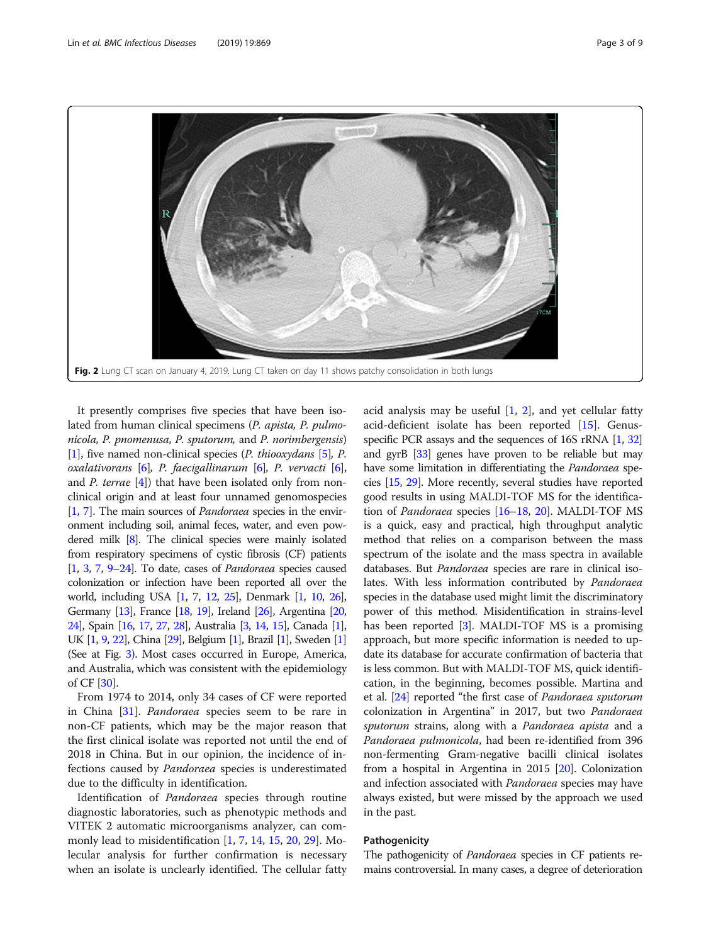<span id="page-2-0"></span>

It presently comprises five species that have been isolated from human clinical specimens (P. apista, P. pulmonicola, P. pnomenusa, P. sputorum, and P. norimbergensis) [[1\]](#page-7-0), five named non-clinical species (*P. thiooxydans* [[5\]](#page-7-0), *P.* oxalativorans [\[6](#page-7-0)], P. faecigallinarum [\[6\]](#page-7-0), P. vervacti [[6](#page-7-0)], and  $P$ . terrae  $[4]$  $[4]$ ) that have been isolated only from nonclinical origin and at least four unnamed genomospecies [[1,](#page-7-0) [7\]](#page-7-0). The main sources of *Pandoraea* species in the environment including soil, animal feces, water, and even powdered milk [\[8](#page-7-0)]. The clinical species were mainly isolated from respiratory specimens of cystic fibrosis (CF) patients [[1](#page-7-0), [3](#page-7-0), [7,](#page-7-0) [9](#page-7-0)–[24\]](#page-8-0). To date, cases of Pandoraea species caused colonization or infection have been reported all over the world, including USA [[1](#page-7-0), [7](#page-7-0), [12,](#page-8-0) [25](#page-8-0)], Denmark [\[1](#page-7-0), [10,](#page-7-0) [26](#page-8-0)], Germany [\[13\]](#page-8-0), France [[18,](#page-8-0) [19\]](#page-8-0), Ireland [\[26\]](#page-8-0), Argentina [\[20](#page-8-0), [24\]](#page-8-0), Spain [[16](#page-8-0), [17,](#page-8-0) [27](#page-8-0), [28\]](#page-8-0), Australia [[3](#page-7-0), [14,](#page-8-0) [15](#page-8-0)], Canada [\[1](#page-7-0)], UK [[1](#page-7-0), [9,](#page-7-0) [22\]](#page-8-0), China [\[29\]](#page-8-0), Belgium [\[1\]](#page-7-0), Brazil [\[1](#page-7-0)], Sweden [[1](#page-7-0)] (See at Fig. [3](#page-4-0)). Most cases occurred in Europe, America, and Australia, which was consistent with the epidemiology of CF [\[30](#page-8-0)].

From 1974 to 2014, only 34 cases of CF were reported in China [[31\]](#page-8-0). Pandoraea species seem to be rare in non-CF patients, which may be the major reason that the first clinical isolate was reported not until the end of 2018 in China. But in our opinion, the incidence of infections caused by Pandoraea species is underestimated due to the difficulty in identification.

Identification of Pandoraea species through routine diagnostic laboratories, such as phenotypic methods and VITEK 2 automatic microorganisms analyzer, can commonly lead to misidentification [\[1](#page-7-0), [7](#page-7-0), [14,](#page-8-0) [15,](#page-8-0) [20,](#page-8-0) [29\]](#page-8-0). Molecular analysis for further confirmation is necessary when an isolate is unclearly identified. The cellular fatty

acid analysis may be useful  $[1, 2]$  $[1, 2]$  $[1, 2]$  $[1, 2]$ , and yet cellular fatty acid-deficient isolate has been reported [[15](#page-8-0)]. Genus-specific PCR assays and the sequences of 16S rRNA [\[1,](#page-7-0) [32](#page-8-0)] and gyrB [\[33](#page-8-0)] genes have proven to be reliable but may have some limitation in differentiating the *Pandoraea* species [[15,](#page-8-0) [29\]](#page-8-0). More recently, several studies have reported good results in using MALDI-TOF MS for the identifica-tion of Pandoraea species [\[16](#page-8-0)-[18,](#page-8-0) [20\]](#page-8-0). MALDI-TOF MS is a quick, easy and practical, high throughput analytic method that relies on a comparison between the mass spectrum of the isolate and the mass spectra in available databases. But Pandoraea species are rare in clinical isolates. With less information contributed by Pandoraea species in the database used might limit the discriminatory power of this method. Misidentification in strains-level has been reported [\[3](#page-7-0)]. MALDI-TOF MS is a promising approach, but more specific information is needed to update its database for accurate confirmation of bacteria that is less common. But with MALDI-TOF MS, quick identification, in the beginning, becomes possible. Martina and et al. [[24](#page-8-0)] reported "the first case of Pandoraea sputorum colonization in Argentina" in 2017, but two Pandoraea sputorum strains, along with a *Pandoraea apista* and a Pandoraea pulmonicola, had been re-identified from 396 non-fermenting Gram-negative bacilli clinical isolates from a hospital in Argentina in 2015 [\[20\]](#page-8-0). Colonization and infection associated with *Pandoraea* species may have always existed, but were missed by the approach we used in the past.

# **Pathogenicity**

The pathogenicity of Pandoraea species in CF patients remains controversial. In many cases, a degree of deterioration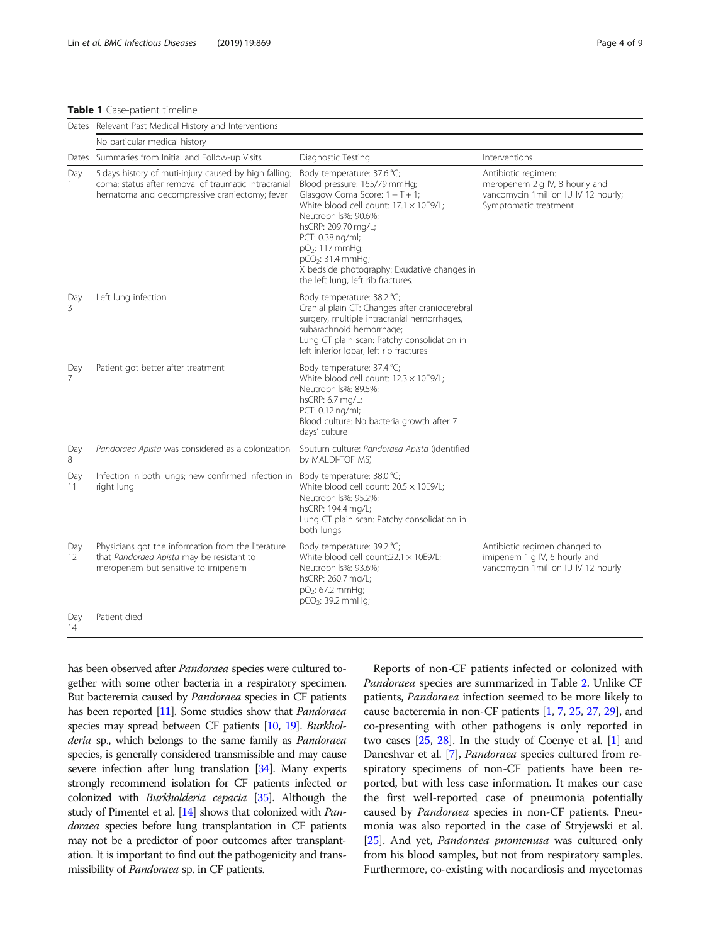#### <span id="page-3-0"></span>Table 1 Case-patient timeline

|           | Dates Relevant Past Medical History and Interventions                                                                                                          |                                                                                                                                                                                                                                                                                                                                                                           |                                                                                                                         |  |  |  |  |  |
|-----------|----------------------------------------------------------------------------------------------------------------------------------------------------------------|---------------------------------------------------------------------------------------------------------------------------------------------------------------------------------------------------------------------------------------------------------------------------------------------------------------------------------------------------------------------------|-------------------------------------------------------------------------------------------------------------------------|--|--|--|--|--|
|           | No particular medical history                                                                                                                                  |                                                                                                                                                                                                                                                                                                                                                                           |                                                                                                                         |  |  |  |  |  |
|           | Dates Summaries from Initial and Follow-up Visits                                                                                                              | Diagnostic Testing                                                                                                                                                                                                                                                                                                                                                        | Interventions                                                                                                           |  |  |  |  |  |
| Day<br>1  | 5 days history of muti-injury caused by high falling;<br>coma; status after removal of traumatic intracranial<br>hematoma and decompressive craniectomy; fever | Body temperature: 37.6 °C;<br>Blood pressure: 165/79 mmHg;<br>Glasgow Coma Score: $1 + T + 1$ ;<br>White blood cell count: $17.1 \times 10E9/L$ ;<br>Neutrophils%: 90.6%;<br>hsCRP: 209.70 mg/L;<br>PCT: 0.38 ng/ml;<br>pO <sub>2</sub> : 117 mmHg;<br>pCO <sub>2</sub> : 31.4 mmHq;<br>X bedside photography: Exudative changes in<br>the left lung, left rib fractures. | Antibiotic regimen:<br>meropenem 2 g IV, 8 hourly and<br>vancomycin 1 million IU IV 12 hourly;<br>Symptomatic treatment |  |  |  |  |  |
| Day<br>3  | Left lung infection                                                                                                                                            | Body temperature: 38.2 °C;<br>Cranial plain CT: Changes after craniocerebral<br>surgery, multiple intracranial hemorrhages,<br>subarachnoid hemorrhage;<br>Lung CT plain scan: Patchy consolidation in<br>left inferior lobar, left rib fractures                                                                                                                         |                                                                                                                         |  |  |  |  |  |
| Day<br>7  | Patient got better after treatment                                                                                                                             | Body temperature: 37.4 °C;<br>White blood cell count: $12.3 \times 10E9/L$ ;<br>Neutrophils%: 89.5%;<br>hsCRP: 6.7 mg/L;<br>PCT: 0.12 ng/ml;<br>Blood culture: No bacteria growth after 7<br>days' culture                                                                                                                                                                |                                                                                                                         |  |  |  |  |  |
| Day<br>8  | Pandoraea Apista was considered as a colonization                                                                                                              | Sputum culture: Pandoraea Apista (identified<br>by MALDI-TOF MS)                                                                                                                                                                                                                                                                                                          |                                                                                                                         |  |  |  |  |  |
| Day<br>11 | Infection in both lungs; new confirmed infection in Body temperature: 38.0 °C;<br>right lung                                                                   | White blood cell count: $20.5 \times 10E9/L$ ;<br>Neutrophils%: 95.2%;<br>hsCRP: 194.4 mg/L;<br>Lung CT plain scan: Patchy consolidation in<br>both lungs                                                                                                                                                                                                                 |                                                                                                                         |  |  |  |  |  |
| Day<br>12 | Physicians got the information from the literature<br>that Pandoraea Apista may be resistant to<br>meropenem but sensitive to imipenem                         | Body temperature: 39.2 °C;<br>White blood cell count:22.1 $\times$ 10E9/L;<br>Neutrophils%: 93.6%;<br>hsCRP: 260.7 mg/L;<br>pO <sub>2</sub> : 67.2 mmHg;<br>pCO <sub>2</sub> : 39.2 mmHq;                                                                                                                                                                                 | Antibiotic regimen changed to<br>imipenem 1 g IV, 6 hourly and<br>vancomycin 1 million IU IV 12 hourly                  |  |  |  |  |  |
| Day<br>14 | Patient died                                                                                                                                                   |                                                                                                                                                                                                                                                                                                                                                                           |                                                                                                                         |  |  |  |  |  |

has been observed after *Pandoraea* species were cultured together with some other bacteria in a respiratory specimen. But bacteremia caused by Pandoraea species in CF patients has been reported [\[11](#page-8-0)]. Some studies show that *Pandoraea* species may spread between CF patients [\[10](#page-7-0), [19](#page-8-0)]. Burkholderia sp., which belongs to the same family as Pandoraea species, is generally considered transmissible and may cause severe infection after lung translation [\[34\]](#page-8-0). Many experts strongly recommend isolation for CF patients infected or colonized with Burkholderia cepacia [[35](#page-8-0)]. Although the study of Pimentel et al. [\[14\]](#page-8-0) shows that colonized with Pandoraea species before lung transplantation in CF patients may not be a predictor of poor outcomes after transplantation. It is important to find out the pathogenicity and transmissibility of Pandoraea sp. in CF patients.

Reports of non-CF patients infected or colonized with Pandoraea species are summarized in Table [2.](#page-4-0) Unlike CF patients, Pandoraea infection seemed to be more likely to cause bacteremia in non-CF patients [[1](#page-7-0), [7](#page-7-0), [25,](#page-8-0) [27](#page-8-0), [29\]](#page-8-0), and co-presenting with other pathogens is only reported in two cases [[25](#page-8-0), [28](#page-8-0)]. In the study of Coenye et al. [[1\]](#page-7-0) and Daneshvar et al. [\[7](#page-7-0)], Pandoraea species cultured from respiratory specimens of non-CF patients have been reported, but with less case information. It makes our case the first well-reported case of pneumonia potentially caused by Pandoraea species in non-CF patients. Pneumonia was also reported in the case of Stryjewski et al. [[25](#page-8-0)]. And yet, Pandoraea pnomenusa was cultured only from his blood samples, but not from respiratory samples. Furthermore, co-existing with nocardiosis and mycetomas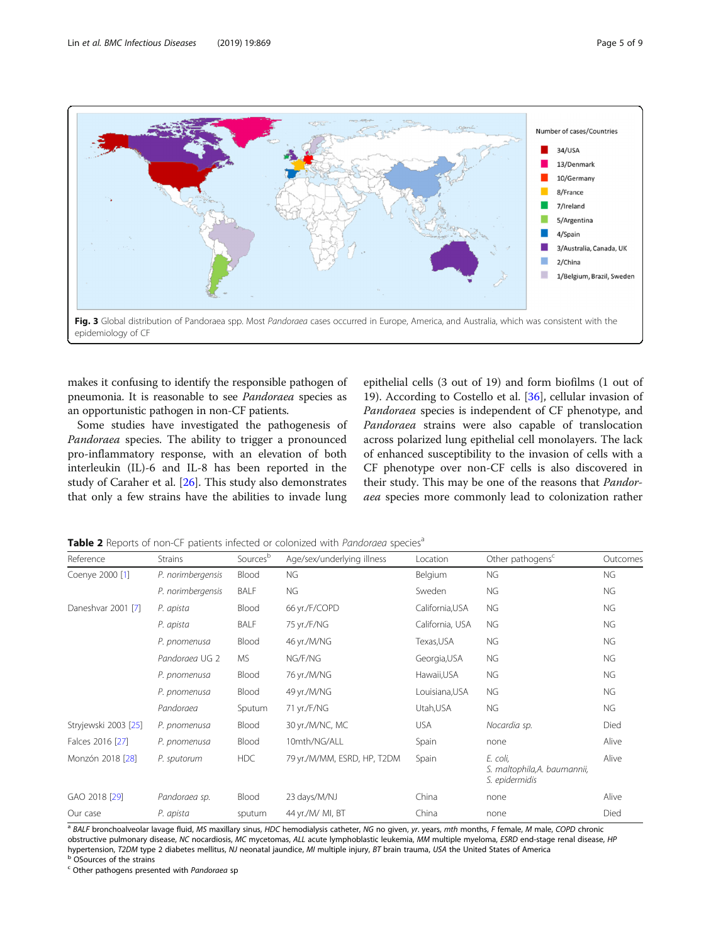<span id="page-4-0"></span>

makes it confusing to identify the responsible pathogen of pneumonia. It is reasonable to see Pandoraea species as an opportunistic pathogen in non-CF patients.

Some studies have investigated the pathogenesis of Pandoraea species. The ability to trigger a pronounced pro-inflammatory response, with an elevation of both interleukin (IL)-6 and IL-8 has been reported in the study of Caraher et al. [\[26](#page-8-0)]. This study also demonstrates that only a few strains have the abilities to invade lung

epithelial cells (3 out of 19) and form biofilms (1 out of 19). According to Costello et al. [\[36](#page-8-0)], cellular invasion of Pandoraea species is independent of CF phenotype, and Pandoraea strains were also capable of translocation across polarized lung epithelial cell monolayers. The lack of enhanced susceptibility to the invasion of cells with a CF phenotype over non-CF cells is also discovered in their study. This may be one of the reasons that *Pandor*aea species more commonly lead to colonization rather

**Table 2** Reports of non-CF patients infected or colonized with *Pandoraea* species<sup>a</sup>

| Reference                                           | <b>Strains</b>    | Sourcesb    | Age/sex/underlying illness  | Location        | Other pathogens <sup>c</sup>                               | Outcomes |
|-----------------------------------------------------|-------------------|-------------|-----------------------------|-----------------|------------------------------------------------------------|----------|
| Coenye 2000 [1]                                     | P. norimbergensis | Blood       | ΝG                          | Belgium         | NG                                                         | NG       |
|                                                     | P. norimbergensis | <b>BALF</b> | NG                          | Sweden          | NG                                                         | NG       |
| Daneshvar 2001 [7]                                  | P. apista         | Blood       | 66 yr./F/COPD               | California, USA | NG                                                         | NG       |
|                                                     | P. apista         | <b>BALF</b> | 75 yr./F/NG                 | California, USA | NG                                                         | NG       |
|                                                     | P. pnomenusa      | Blood       | 46 yr./M/NG                 | Texas, USA      | NG                                                         | NG       |
|                                                     | Pandoraea UG 2    | <b>MS</b>   | NG/F/NG                     | Georgia, USA    | NG                                                         | NG       |
|                                                     | P. pnomenusa      | Blood       | 76 yr./M/NG                 | Hawaii,USA      | NG                                                         | NG       |
|                                                     | P. pnomenusa      | Blood       | 49 yr./M/NG                 | Louisiana,USA   | ΝG                                                         | NG       |
|                                                     | Pandoraea         | Sputum      | 71 yr./F/NG                 | Utah,USA        | NG                                                         | NG       |
| Stryjewski 2003 [25]                                | P. pnomenusa      | Blood       | 30 yr./M/NC, MC             | <b>USA</b>      | Nocardia sp.                                               | Died     |
| Falces 2016 [27]                                    | P. pnomenusa      | Blood       | 10mth/NG/ALL                | Spain           | none                                                       | Alive    |
| Monzón 2018 [28]<br>P. sputorum                     |                   | <b>HDC</b>  | 79 yr./M/MM, ESRD, HP, T2DM | Spain           | E. coli,<br>S. maltophila, A. baumannii,<br>S. epidermidis | Alive    |
| GAO 2018 [29]                                       | Pandoraea sp.     | Blood       | 23 days/M/NJ                | China           | none                                                       | Alive    |
| 44 yr./M/ MI, BT<br>Our case<br>P. apista<br>sputum |                   |             | China                       | none            | Died                                                       |          |

<sup>a</sup> BALF bronchoalveolar lavage fluid, MS maxillary sinus, HDC hemodialysis catheter, NG no given, yr. years, mth months, F female, M male, COPD chronic obstructive pulmonary disease, NC nocardiosis, MC mycetomas, ALL acute lymphoblastic leukemia, MM multiple myeloma, ESRD end-stage renal disease, HP hypertension, T2DM type 2 diabetes mellitus, NJ neonatal jaundice, MI multiple injury, BT brain trauma, USA the United States of America b OSources of the strains

 $c$  Other pathogens presented with Pandoraea sp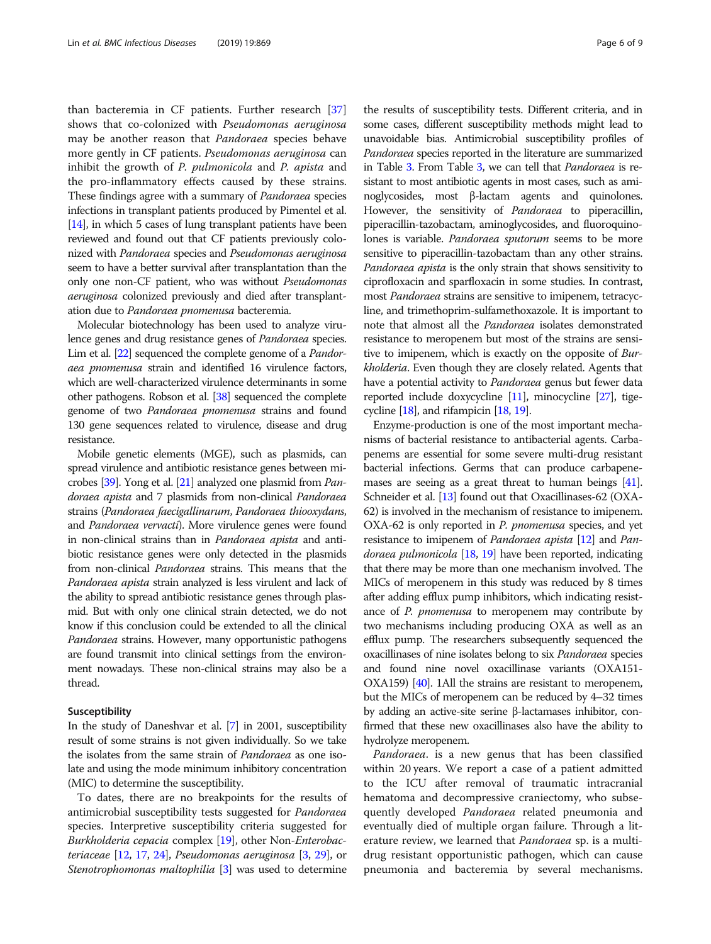than bacteremia in CF patients. Further research [[37](#page-8-0)] shows that co-colonized with Pseudomonas aeruginosa may be another reason that Pandoraea species behave more gently in CF patients. Pseudomonas aeruginosa can inhibit the growth of P. pulmonicola and P. apista and the pro-inflammatory effects caused by these strains. These findings agree with a summary of Pandoraea species infections in transplant patients produced by Pimentel et al. [[14](#page-8-0)], in which 5 cases of lung transplant patients have been reviewed and found out that CF patients previously colonized with Pandoraea species and Pseudomonas aeruginosa seem to have a better survival after transplantation than the only one non-CF patient, who was without Pseudomonas aeruginosa colonized previously and died after transplantation due to Pandoraea pnomenusa bacteremia.

Molecular biotechnology has been used to analyze virulence genes and drug resistance genes of Pandoraea species. Lim et al. [\[22\]](#page-8-0) sequenced the complete genome of a *Pandor*aea pnomenusa strain and identified 16 virulence factors, which are well-characterized virulence determinants in some other pathogens. Robson et al. [\[38](#page-8-0)] sequenced the complete genome of two Pandoraea pnomenusa strains and found 130 gene sequences related to virulence, disease and drug resistance.

Mobile genetic elements (MGE), such as plasmids, can spread virulence and antibiotic resistance genes between microbes [\[39](#page-8-0)]. Yong et al. [\[21\]](#page-8-0) analyzed one plasmid from Pandoraea apista and 7 plasmids from non-clinical Pandoraea strains (Pandoraea faecigallinarum, Pandoraea thiooxydans, and Pandoraea vervacti). More virulence genes were found in non-clinical strains than in Pandoraea apista and antibiotic resistance genes were only detected in the plasmids from non-clinical Pandoraea strains. This means that the Pandoraea apista strain analyzed is less virulent and lack of the ability to spread antibiotic resistance genes through plasmid. But with only one clinical strain detected, we do not know if this conclusion could be extended to all the clinical Pandoraea strains. However, many opportunistic pathogens are found transmit into clinical settings from the environment nowadays. These non-clinical strains may also be a thread.

# Susceptibility

In the study of Daneshvar et al. [\[7](#page-7-0)] in 2001, susceptibility result of some strains is not given individually. So we take the isolates from the same strain of Pandoraea as one isolate and using the mode minimum inhibitory concentration (MIC) to determine the susceptibility.

To dates, there are no breakpoints for the results of antimicrobial susceptibility tests suggested for Pandoraea species. Interpretive susceptibility criteria suggested for Burkholderia cepacia complex [\[19](#page-8-0)], other Non-Enterobacteriaceae [[12](#page-8-0), [17](#page-8-0), [24](#page-8-0)], Pseudomonas aeruginosa [[3](#page-7-0), [29](#page-8-0)], or Stenotrophomonas maltophilia [[3\]](#page-7-0) was used to determine the results of susceptibility tests. Different criteria, and in some cases, different susceptibility methods might lead to unavoidable bias. Antimicrobial susceptibility profiles of Pandoraea species reported in the literature are summarized in Table [3](#page-6-0). From Table [3](#page-6-0), we can tell that Pandoraea is resistant to most antibiotic agents in most cases, such as aminoglycosides, most β-lactam agents and quinolones. However, the sensitivity of Pandoraea to piperacillin, piperacillin-tazobactam, aminoglycosides, and fluoroquinolones is variable. Pandoraea sputorum seems to be more sensitive to piperacillin-tazobactam than any other strains. Pandoraea apista is the only strain that shows sensitivity to ciprofloxacin and sparfloxacin in some studies. In contrast, most Pandoraea strains are sensitive to imipenem, tetracycline, and trimethoprim-sulfamethoxazole. It is important to note that almost all the Pandoraea isolates demonstrated resistance to meropenem but most of the strains are sensitive to imipenem, which is exactly on the opposite of Burkholderia. Even though they are closely related. Agents that have a potential activity to *Pandoraea* genus but fewer data reported include doxycycline [[11\]](#page-8-0), minocycline [\[27\]](#page-8-0), tigecycline [\[18\]](#page-8-0), and rifampicin [\[18](#page-8-0), [19](#page-8-0)].

Enzyme-production is one of the most important mechanisms of bacterial resistance to antibacterial agents. Carbapenems are essential for some severe multi-drug resistant bacterial infections. Germs that can produce carbapene-mases are seeing as a great threat to human beings [\[41](#page-8-0)]. Schneider et al. [\[13\]](#page-8-0) found out that Oxacillinases-62 (OXA-62) is involved in the mechanism of resistance to imipenem. OXA-62 is only reported in P. pnomenusa species, and yet resistance to imipenem of Pandoraea apista [\[12\]](#page-8-0) and Pandoraea pulmonicola  $[18, 19]$  $[18, 19]$  $[18, 19]$  $[18, 19]$  have been reported, indicating that there may be more than one mechanism involved. The MICs of meropenem in this study was reduced by 8 times after adding efflux pump inhibitors, which indicating resistance of P. pnomenusa to meropenem may contribute by two mechanisms including producing OXA as well as an efflux pump. The researchers subsequently sequenced the oxacillinases of nine isolates belong to six Pandoraea species and found nine novel oxacillinase variants (OXA151- OXA159) [\[40\]](#page-8-0). 1All the strains are resistant to meropenem, but the MICs of meropenem can be reduced by 4–32 times by adding an active-site serine β-lactamases inhibitor, confirmed that these new oxacillinases also have the ability to hydrolyze meropenem.

Pandoraea. is a new genus that has been classified within 20 years. We report a case of a patient admitted to the ICU after removal of traumatic intracranial hematoma and decompressive craniectomy, who subsequently developed Pandoraea related pneumonia and eventually died of multiple organ failure. Through a literature review, we learned that *Pandoraea* sp. is a multidrug resistant opportunistic pathogen, which can cause pneumonia and bacteremia by several mechanisms.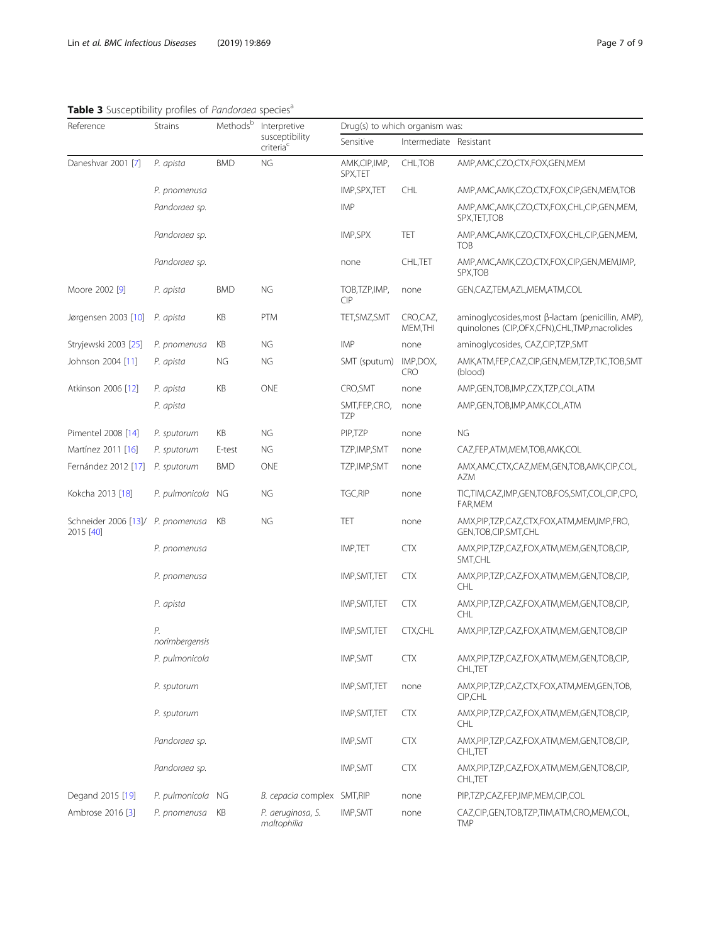# <span id="page-6-0"></span>Table 3 Susceptibility profiles of Pandoraea species<sup>a</sup>

| Reference                                      | $\rightarrow$ based primity promise of ramabraca<br><b>Strains</b> | Methodsb   | Interpretive<br>susceptibility<br>criteria <sup>c</sup> | Drug(s) to which organism was: |                         |                                                                                                  |  |
|------------------------------------------------|--------------------------------------------------------------------|------------|---------------------------------------------------------|--------------------------------|-------------------------|--------------------------------------------------------------------------------------------------|--|
|                                                |                                                                    |            |                                                         | Sensitive                      | Intermediate Resistant  |                                                                                                  |  |
| Daneshvar 2001 [7]                             | P. apista                                                          | <b>BMD</b> | <b>NG</b>                                               | AMK,CIP,IMP,<br>SPX,TET        | CHL, TOB                | AMP,AMC,CZO,CTX,FOX,GEN,MEM                                                                      |  |
|                                                | P. pnomenusa                                                       |            |                                                         | IMP, SPX, TET                  | CHL                     | AMP,AMC,AMK,CZO,CTX,FOX,CIP,GEN,MEM,TOB                                                          |  |
|                                                | Pandoraea sp.                                                      |            |                                                         | <b>IMP</b>                     |                         | AMP,AMC,AMK,CZO,CTX,FOX,CHL,CIP,GEN,MEM,<br>SPX, TET, TOB                                        |  |
|                                                | Pandoraea sp.                                                      |            |                                                         | IMP, SPX                       | TET                     | AMP,AMC,AMK,CZO,CTX,FOX,CHL,CIP,GEN,MEM,<br><b>TOB</b>                                           |  |
|                                                | Pandoraea sp.                                                      |            |                                                         | none                           | <b>CHL,TET</b>          | AMP,AMC,AMK,CZO,CTX,FOX,CIP,GEN,MEM,IMP,<br>SPX, TOB                                             |  |
| Moore 2002 [9]                                 | P. apista                                                          | <b>BMD</b> | NG                                                      | TOB,TZP,IMP,<br><b>CIP</b>     | none                    | GEN,CAZ,TEM,AZL,MEM,ATM,COL                                                                      |  |
| Jørgensen 2003 [10]                            | P. apista                                                          | KB         | PTM                                                     | TET, SMZ, SMT                  | CRO,CAZ,<br>MEM,THI     | aminoglycosides, most β-lactam (penicillin, AMP),<br>quinolones (CIP,OFX,CFN),CHL,TMP,macrolides |  |
| Stryjewski 2003 [25]                           | P. pnomenusa                                                       | KB         | NG                                                      | <b>IMP</b>                     | none                    | aminoglycosides, CAZ,CIP,TZP,SMT                                                                 |  |
| Johnson 2004 [11]                              | P. apista                                                          | ΝG         | NG                                                      | SMT (sputum)                   | IMP, DOX,<br><b>CRO</b> | AMK,ATM,FEP,CAZ,CIP,GEN,MEM,TZP,TIC,TOB,SMT<br>(blood)                                           |  |
| Atkinson 2006 [12]                             | P. apista                                                          | KB         | ONE                                                     | CRO, SMT                       | none                    | AMP, GEN, TOB, IMP, CZX, TZP, COL, ATM                                                           |  |
|                                                | P. apista                                                          |            |                                                         | SMT,FEP,CRO,<br><b>TZP</b>     | none                    | AMP, GEN, TOB, IMP, AMK, COL, ATM                                                                |  |
| Pimentel 2008 [14]                             | P. sputorum                                                        | KB         | NG                                                      | PIP,TZP                        | none                    | NG                                                                                               |  |
| Martínez 2011 [16]                             | P. sputorum                                                        | E-test     | ΝG                                                      | TZP, IMP, SMT                  | none                    | CAZ,FEP,ATM,MEM,TOB,AMK,COL                                                                      |  |
| Fernández 2012 [17]                            | P. sputorum                                                        | <b>BMD</b> | ONE                                                     | TZP, IMP, SMT                  | none                    | AMX,AMC,CTX,CAZ,MEM,GEN,TOB,AMK,CIP,COL,<br>AZM                                                  |  |
| Kokcha 2013 [18]                               | P. pulmonicola NG                                                  |            | ΝG                                                      | TGC,RIP                        | none                    | TIC,TIM,CAZ,IMP,GEN,TOB,FOS,SMT,COL,CIP,CPO,<br>FAR, MEM                                         |  |
| Schneider 2006 [13]/ P. pnomenusa<br>2015 [40] |                                                                    | KB         | NG                                                      | TET                            | none                    | AMX,PIP,TZP,CAZ,CTX,FOX,ATM,MEM,IMP,FRO,<br>GEN, TOB, CIP, SMT, CHL                              |  |
|                                                | P. pnomenusa                                                       |            |                                                         | IMP,TET                        | <b>CTX</b>              | AMX,PIP,TZP,CAZ,FOX,ATM,MEM,GEN,TOB,CIP,<br>SMT,CHL                                              |  |
|                                                | P. pnomenusa                                                       |            |                                                         | IMP, SMT, TET                  | <b>CTX</b>              | AMX, PIP, TZP, CAZ, FOX, ATM, MEM, GEN, TOB, CIP,<br><b>CHL</b>                                  |  |
|                                                | P. apista                                                          |            |                                                         | IMP, SMT, TET                  | <b>CTX</b>              | AMX, PIP, TZP, CAZ, FOX, ATM, MEM, GEN, TOB, CIP,<br><b>CHL</b>                                  |  |
|                                                | Р.<br>norimbergensis                                               |            |                                                         | IMP, SMT, TET                  | CTX,CHL                 | AMX,PIP,TZP,CAZ,FOX,ATM,MEM,GEN,TOB,CIP                                                          |  |
|                                                | P. pulmonicola                                                     |            |                                                         | IMP, SMT                       | <b>CTX</b>              | AMX,PIP,TZP,CAZ,FOX,ATM,MEM,GEN,TOB,CIP,<br><b>CHL,TET</b>                                       |  |
|                                                | P. sputorum                                                        |            |                                                         | IMP, SMT, TET                  | none                    | AMX,PIP,TZP,CAZ,CTX,FOX,ATM,MEM,GEN,TOB,<br>CIP,CHL                                              |  |
|                                                | P. sputorum                                                        |            |                                                         | IMP, SMT, TET                  | <b>CTX</b>              | AMX, PIP, TZP, CAZ, FOX, ATM, MEM, GEN, TOB, CIP,<br><b>CHL</b>                                  |  |
|                                                | Pandoraea sp.                                                      |            |                                                         | IMP, SMT                       | <b>CTX</b>              | AMX, PIP, TZP, CAZ, FOX, ATM, MEM, GEN, TOB, CIP,<br>CHL, TET                                    |  |
|                                                | Pandoraea sp.                                                      |            |                                                         | IMP, SMT                       | <b>CTX</b>              | AMX,PIP,TZP,CAZ,FOX,ATM,MEM,GEN,TOB,CIP,<br>CHL, TET                                             |  |
| Degand 2015 [19]                               | P. pulmonicola NG                                                  |            | B. cepacia complex SMT, RIP                             |                                | none                    | PIP,TZP,CAZ,FEP,IMP,MEM,CIP,COL                                                                  |  |
| Ambrose 2016 [3]                               | P. pnomenusa                                                       | KB         | P. aeruginosa, S.<br>maltophilia                        | IMP, SMT                       | none                    | CAZ,CIP,GEN,TOB,TZP,TIM,ATM,CRO,MEM,COL,<br><b>TMP</b>                                           |  |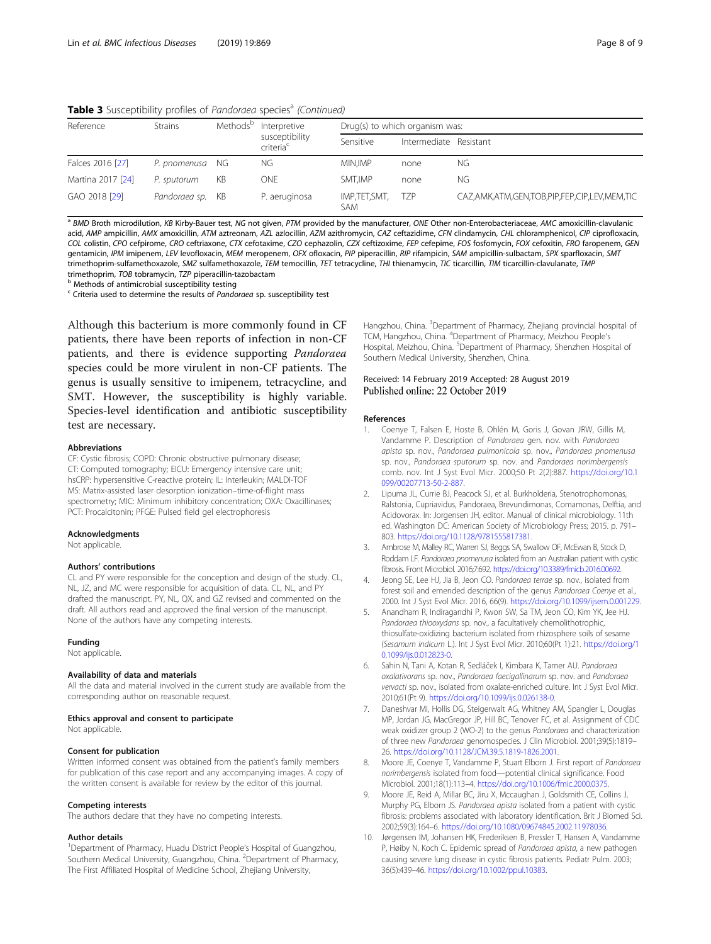| <b>There</b> is capacitative, promission, and capacities recreatively. |                  |                      |                                                         |                                |                        |                                             |
|------------------------------------------------------------------------|------------------|----------------------|---------------------------------------------------------|--------------------------------|------------------------|---------------------------------------------|
| Reference                                                              | <b>Strains</b>   | Methods <sup>p</sup> | Interpretive<br>susceptibility<br>criteria <sup>c</sup> | Drug(s) to which organism was: |                        |                                             |
|                                                                        |                  |                      |                                                         | Sensitive                      | Intermediate Resistant |                                             |
| Falces 2016 [27]                                                       | P. pnomenusa NG  |                      | ΝG                                                      | MIN.IMP                        | none                   | NG                                          |
| Martina 2017 [24]                                                      | P. sputorum      | KB.                  | <b>ONF</b>                                              | SMT.IMP                        | none                   | NG.                                         |
| GAO 2018 [29]                                                          | Pandoraea sp. KB |                      | P. aeruginosa                                           | IMP, TET, SMT,<br><b>SAM</b>   | TZP                    | CAZ,AMK,ATM,GEN,TOB,PIP,FEP,CIP,LEV,MEM,TIC |

# <span id="page-7-0"></span>Table 3 Susceptibility profiles of Pandoraea species<sup>a</sup> (Continued)

<sup>a</sup> BMD Broth microdilution, KB Kirby-Bauer test, NG not given, PTM provided by the manufacturer, ONE Other non-Enterobacteriaceae, AMC amoxicillin-clavulanic acid, AMP ampicillin, AMX amoxicillin, ATM aztreonam, AZL azlocillin, AZM azithromycin, CAZ ceftazidime, CFN clindamycin, CHL chloramphenicol, CIP ciprofloxacin, COL colistin, CPO cefpirome, CRO ceftriaxone, CTX cefotaxime, CZO cephazolin, CZX ceftizoxime, FEP cefepime, FOS fosfomycin, FOX cefoxitin, FRO faropenem, GEN gentamicin, IPM imipenem, LEV levofloxacin, MEM meropenem, OFX ofloxacin, PIP piperacillin, RIP rifampicin, SAM ampicillin-sulbactam, SPX sparfloxacin, SMT trimethoprim-sulfamethoxazole, SMZ sulfamethoxazole, TEM temocillin, TET tetracycline, THI thienamycin, TIC ticarcillin, TIM ticarcillin-clavulanate, TMP trimethoprim, TOB tobramycin, TZP piperacillin-tazobactam b Methods of antimicrobial susceptibility testing

 $c$  Criteria used to determine the results of Pandoraea sp. susceptibility test

Although this bacterium is more commonly found in CF patients, there have been reports of infection in non-CF patients, and there is evidence supporting Pandoraea species could be more virulent in non-CF patients. The genus is usually sensitive to imipenem, tetracycline, and SMT. However, the susceptibility is highly variable. Species-level identification and antibiotic susceptibility test are necessary.

#### Abbreviations

CF: Cystic fibrosis; COPD: Chronic obstructive pulmonary disease; CT: Computed tomography; EICU: Emergency intensive care unit; hsCRP: hypersensitive C-reactive protein; IL: Interleukin; MALDI-TOF MS: Matrix-assisted laser desorption ionization–time-of-flight mass spectrometry; MIC: Minimum inhibitory concentration; OXA: Oxacillinases; PCT: Procalcitonin; PFGE: Pulsed field gel electrophoresis

#### Acknowledgments

Not applicable.

#### Authors' contributions

CL and PY were responsible for the conception and design of the study. CL, NL, JZ, and MC were responsible for acquisition of data. CL, NL, and PY drafted the manuscript. PY, NL, QX, and GZ revised and commented on the draft. All authors read and approved the final version of the manuscript. None of the authors have any competing interests.

#### Funding

Not applicable.

#### Availability of data and materials

All the data and material involved in the current study are available from the corresponding author on reasonable request.

#### Ethics approval and consent to participate

Not applicable.

#### Consent for publication

Written informed consent was obtained from the patient's family members for publication of this case report and any accompanying images. A copy of the written consent is available for review by the editor of this journal.

#### Competing interests

The authors declare that they have no competing interests.

#### Author details

<sup>1</sup>Department of Pharmacy, Huadu District People's Hospital of Guangzhou, Southern Medical University, Guangzhou, China. <sup>2</sup>Department of Pharmacy, The First Affiliated Hospital of Medicine School, Zhejiang University,

Hangzhou, China. <sup>3</sup>Department of Pharmacy, Zhejiang provincial hospital of TCM, Hangzhou, China. <sup>4</sup>Department of Pharmacy, Meizhou People's Hospital, Meizhou, China. <sup>5</sup>Department of Pharmacy, Shenzhen Hospital of Southern Medical University, Shenzhen, China.

## Received: 14 February 2019 Accepted: 28 August 2019 Published online: 22 October 2019

### References

- 1. Coenye T, Falsen E, Hoste B, Ohlén M, Goris J, Govan JRW, Gillis M, Vandamme P. Description of Pandoraea gen. nov. with Pandoraea apista sp. nov., Pandoraea pulmonicola sp. nov., Pandoraea pnomenusa sp. nov., Pandoraea sputorum sp. nov. and Pandoraea norimbergensis comb. nov. Int J Syst Evol Micr. 2000;50 Pt 2(2):887. [https://doi.org/10.1](https://doi.org/10.1099/00207713-50-2-887) [099/00207713-50-2-887](https://doi.org/10.1099/00207713-50-2-887).
- 2. Lipuma JL, Currie BJ, Peacock SJ, et al. Burkholderia, Stenotrophomonas, Ralstonia, Cupriavidus, Pandoraea, Brevundimonas, Comamonas, Delftia, and Acidovorax. In: Jorgensen JH, editor. Manual of clinical microbiology. 11th ed. Washington DC: American Society of Microbiology Press; 2015. p. 791– 803. [https://doi.org/10.1128/9781555817381.](https://doi.org/10.1128/9781555817381)
- Ambrose M, Malley RC, Warren SJ, Beggs SA, Swallow OF, McEwan B, Stock D, Roddam LF. Pandoraea pnomenusa isolated from an Australian patient with cystic fibrosis. Front Microbiol. 2016;7:692. [https://doi.org/10.3389/fmicb.2016.00692.](https://doi.org/10.3389/fmicb.2016.00692)
- 4. Jeong SE, Lee HJ, Jia B, Jeon CO. Pandoraea terrae sp. nov., isolated from forest soil and emended description of the genus Pandoraea Coenye et al., 2000. Int J Syst Evol Micr. 2016, 66(9). [https://doi.org/10.1099/ijsem.0.001229.](https://doi.org/10.1099/ijsem.0.001229)
- 5. Anandham R, Indiragandhi P, Kwon SW, Sa TM, Jeon CO, Kim YK, Jee HJ. Pandoraea thiooxydans sp. nov., a facultatively chemolithotrophic, thiosulfate-oxidizing bacterium isolated from rhizosphere soils of sesame (Sesamum indicum L.). Int J Syst Evol Micr. 2010;60(Pt 1):21. [https://doi.org/1](https://doi.org/10.1099/ijs.0.012823-0) [0.1099/ijs.0.012823-0.](https://doi.org/10.1099/ijs.0.012823-0)
- 6. Sahin N, Tani A, Kotan R, Sedláček I, Kimbara K, Tamer AU. Pandoraea oxalativorans sp. nov., Pandoraea faecigallinarum sp. nov. and Pandoraea vervacti sp. nov., isolated from oxalate-enriched culture. Int J Syst Evol Micr. 2010;61(Pt 9). <https://doi.org/10.1099/ijs.0.026138-0>.
- 7. Daneshvar MI, Hollis DG, Steigerwalt AG, Whitney AM, Spangler L, Douglas MP, Jordan JG, MacGregor JP, Hill BC, Tenover FC, et al. Assignment of CDC weak oxidizer group 2 (WO-2) to the genus Pandoraea and characterization of three new Pandoraea genomospecies. J Clin Microbiol. 2001;39(5):1819– 26. <https://doi.org/10.1128/JCM.39.5.1819-1826.2001>.
- 8. Moore JE, Coenye T, Vandamme P, Stuart Elborn J. First report of Pandoraea norimbergensis isolated from food—potential clinical significance. Food Microbiol. 2001;18(1):113–4. <https://doi.org/10.1006/fmic.2000.0375>.
- 9. Moore JE, Reid A, Millar BC, Jiru X, Mccaughan J, Goldsmith CE, Collins J, Murphy PG, Elborn JS. Pandoraea apista isolated from a patient with cystic fibrosis: problems associated with laboratory identification. Brit J Biomed Sci. 2002;59(3):164–6. <https://doi.org/10.1080/09674845.2002.11978036>.
- 10. Jørgensen IM, Johansen HK, Frederiksen B, Pressler T, Hansen A, Vandamme P, Høiby N, Koch C. Epidemic spread of Pandoraea apista, a new pathogen causing severe lung disease in cystic fibrosis patients. Pediatr Pulm. 2003; 36(5):439–46. <https://doi.org/10.1002/ppul.10383>.